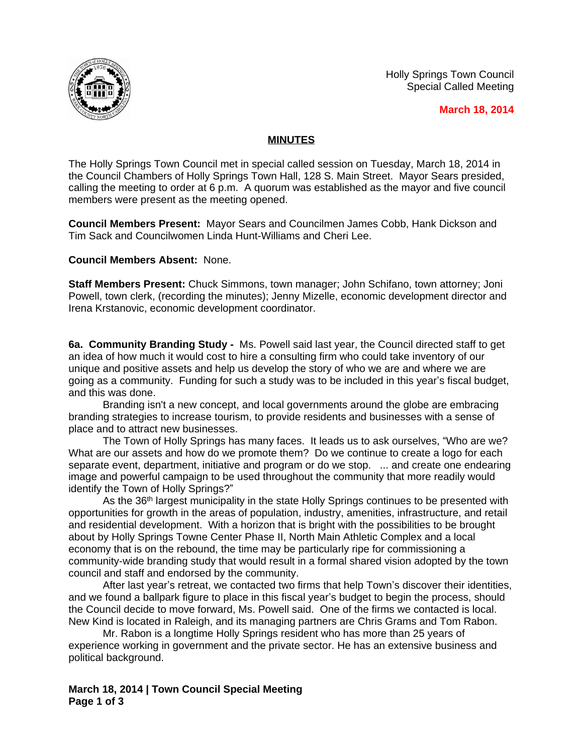Holly Springs Town Council Special Called Meeting



 **March 18, 2014**

## **MINUTES**

The Holly Springs Town Council met in special called session on Tuesday, March 18, 2014 in the Council Chambers of Holly Springs Town Hall, 128 S. Main Street. Mayor Sears presided, calling the meeting to order at 6 p.m. A quorum was established as the mayor and five council members were present as the meeting opened.

**Council Members Present:** Mayor Sears and Councilmen James Cobb, Hank Dickson and Tim Sack and Councilwomen Linda Hunt-Williams and Cheri Lee.

**Council Members Absent:** None.

**Staff Members Present:** Chuck Simmons, town manager; John Schifano, town attorney; Joni Powell, town clerk, (recording the minutes); Jenny Mizelle, economic development director and Irena Krstanovic, economic development coordinator.

**6a. Community Branding Study -** Ms. Powell said last year, the Council directed staff to get an idea of how much it would cost to hire a consulting firm who could take inventory of our unique and positive assets and help us develop the story of who we are and where we are going as a community. Funding for such a study was to be included in this year's fiscal budget, and this was done.

Branding isn't a new concept, and local governments around the globe are embracing branding strategies to increase tourism, to provide residents and businesses with a sense of place and to attract new businesses.

The Town of Holly Springs has many faces. It leads us to ask ourselves, "Who are we? What are our assets and how do we promote them? Do we continue to create a logo for each separate event, department, initiative and program or do we stop. ... and create one endearing image and powerful campaign to be used throughout the community that more readily would identify the Town of Holly Springs?"

As the 36<sup>th</sup> largest municipality in the state Holly Springs continues to be presented with opportunities for growth in the areas of population, industry, amenities, infrastructure, and retail and residential development. With a horizon that is bright with the possibilities to be brought about by Holly Springs Towne Center Phase II, North Main Athletic Complex and a local economy that is on the rebound, the time may be particularly ripe for commissioning a community-wide branding study that would result in a formal shared vision adopted by the town council and staff and endorsed by the community.

After last year's retreat, we contacted two firms that help Town's discover their identities, and we found a ballpark figure to place in this fiscal year's budget to begin the process, should the Council decide to move forward, Ms. Powell said. One of the firms we contacted is local. New Kind is located in Raleigh, and its managing partners are Chris Grams and Tom Rabon.

Mr. Rabon is a longtime Holly Springs resident who has more than 25 years of experience working in government and the private sector. He has an extensive business and political background.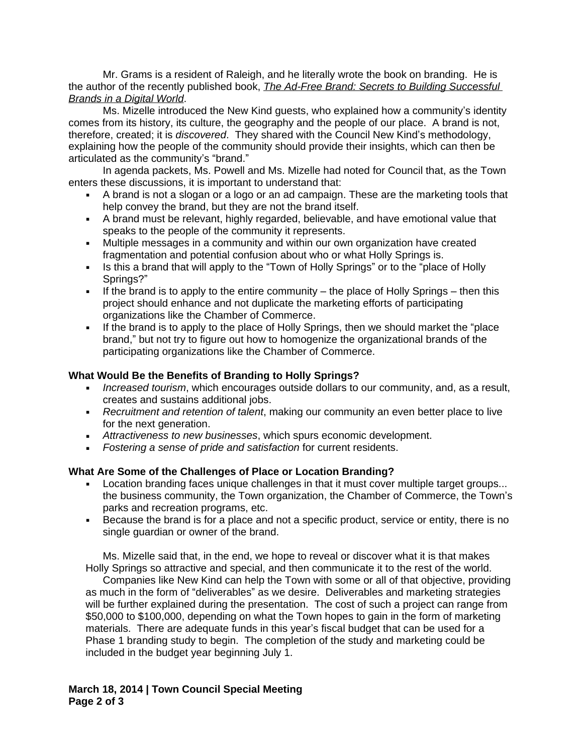Mr. Grams is a resident of Raleigh, and he literally wrote the book on branding. He is the author of the recently published book, *The Ad-Free Brand: Secrets to Building Successful Brands in a Digital World*.

Ms. Mizelle introduced the New Kind guests, who explained how a community's identity comes from its history, its culture, the geography and the people of our place. A brand is not, therefore, created; it is *discovered*. They shared with the Council New Kind's methodology, explaining how the people of the community should provide their insights, which can then be articulated as the community's "brand."

In agenda packets, Ms. Powell and Ms. Mizelle had noted for Council that, as the Town enters these discussions, it is important to understand that:

- A brand is not a slogan or a logo or an ad campaign. These are the marketing tools that help convey the brand, but they are not the brand itself.
- A brand must be relevant, highly regarded, believable, and have emotional value that speaks to the people of the community it represents.
- Multiple messages in a community and within our own organization have created fragmentation and potential confusion about who or what Holly Springs is.
- Is this a brand that will apply to the "Town of Holly Springs" or to the "place of Holly Springs?"
- If the brand is to apply to the entire community the place of Holly Springs then this project should enhance and not duplicate the marketing efforts of participating organizations like the Chamber of Commerce.
- If the brand is to apply to the place of Holly Springs, then we should market the "place" brand," but not try to figure out how to homogenize the organizational brands of the participating organizations like the Chamber of Commerce.

## **What Would Be the Benefits of Branding to Holly Springs?**

- *Increased tourism*, which encourages outside dollars to our community, and, as a result, creates and sustains additional jobs.
- *Recruitment and retention of talent*, making our community an even better place to live for the next generation.
- *Attractiveness to new businesses*, which spurs economic development.
- *Fostering a sense of pride and satisfaction* for current residents.

## **What Are Some of the Challenges of Place or Location Branding?**

- Location branding faces unique challenges in that it must cover multiple target groups... the business community, the Town organization, the Chamber of Commerce, the Town's parks and recreation programs, etc.
- Because the brand is for a place and not a specific product, service or entity, there is no single guardian or owner of the brand.

Ms. Mizelle said that, in the end, we hope to reveal or discover what it is that makes Holly Springs so attractive and special, and then communicate it to the rest of the world.

Companies like New Kind can help the Town with some or all of that objective, providing as much in the form of "deliverables" as we desire. Deliverables and marketing strategies will be further explained during the presentation. The cost of such a project can range from \$50,000 to \$100,000, depending on what the Town hopes to gain in the form of marketing materials. There are adequate funds in this year's fiscal budget that can be used for a Phase 1 branding study to begin. The completion of the study and marketing could be included in the budget year beginning July 1.